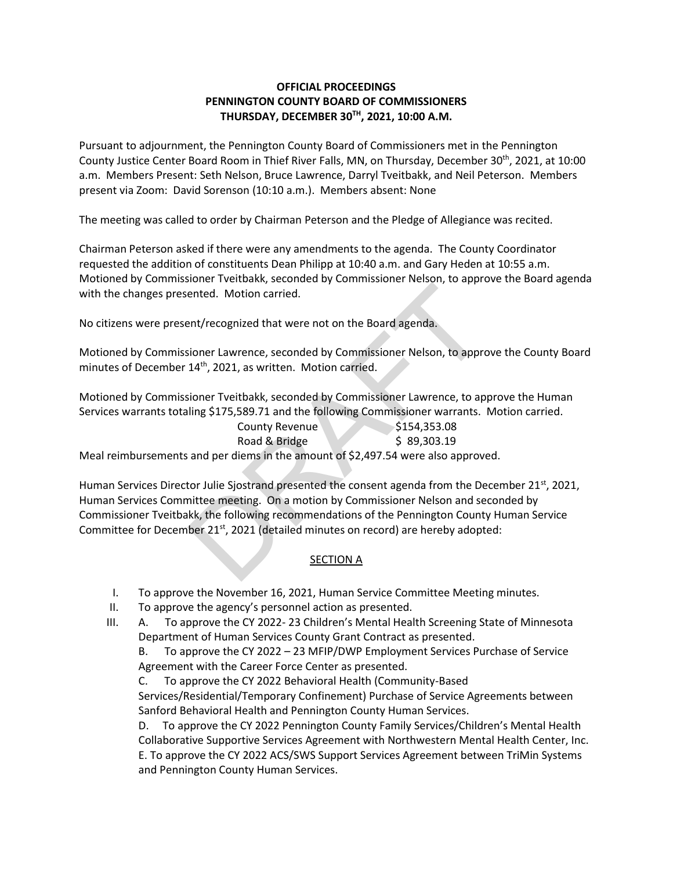## **OFFICIAL PROCEEDINGS PENNINGTON COUNTY BOARD OF COMMISSIONERS THURSDAY, DECEMBER 30TH , 2021, 10:00 A.M.**

Pursuant to adjournment, the Pennington County Board of Commissioners met in the Pennington County Justice Center Board Room in Thief River Falls, MN, on Thursday, December 30<sup>th</sup>, 2021, at 10:00 a.m. Members Present: Seth Nelson, Bruce Lawrence, Darryl Tveitbakk, and Neil Peterson. Members present via Zoom: David Sorenson (10:10 a.m.). Members absent: None

The meeting was called to order by Chairman Peterson and the Pledge of Allegiance was recited.

Chairman Peterson asked if there were any amendments to the agenda. The County Coordinator requested the addition of constituents Dean Philipp at 10:40 a.m. and Gary Heden at 10:55 a.m. Motioned by Commissioner Tveitbakk, seconded by Commissioner Nelson, to approve the Board agenda with the changes presented. Motion carried.

No citizens were present/recognized that were not on the Board agenda.

Motioned by Commissioner Lawrence, seconded by Commissioner Nelson, to approve the County Board minutes of December 14<sup>th</sup>, 2021, as written. Motion carried.

Motioned by Commissioner Tveitbakk, seconded by Commissioner Lawrence, to approve the Human Services warrants totaling \$175,589.71 and the following Commissioner warrants. Motion carried.

| County Revenue                                                                    | \$154,353.08 |
|-----------------------------------------------------------------------------------|--------------|
| Road & Bridge                                                                     | \$89,303.19  |
| Meal reimbursements and per diems in the amount of \$2,497.54 were also approved. |              |

Human Services Director Julie Sjostrand presented the consent agenda from the December 21<sup>st</sup>, 2021, Human Services Committee meeting. On a motion by Commissioner Nelson and seconded by Commissioner Tveitbakk, the following recommendations of the Pennington County Human Service Committee for December 21<sup>st</sup>, 2021 (detailed minutes on record) are hereby adopted: ented. Motion carried.<br>
ented. Motion carried.<br>
and the Board agenda.<br>
sioner Lawrence, seconded by Commissioner Nelson, to approximation arrived.<br>
14<sup>th</sup>, 2021, as written. Motion carried.<br>
sioner Tveitbakk, seconded by C

## SECTION A

- I. To approve the November 16, 2021, Human Service Committee Meeting minutes.
- II. To approve the agency's personnel action as presented.
- III. A. To approve the CY 2022- 23 Children's Mental Health Screening State of Minnesota Department of Human Services County Grant Contract as presented.

B. To approve the CY 2022 – 23 MFIP/DWP Employment Services Purchase of Service Agreement with the Career Force Center as presented.

C. To approve the CY 2022 Behavioral Health (Community-Based

Services/Residential/Temporary Confinement) Purchase of Service Agreements between Sanford Behavioral Health and Pennington County Human Services.

D. To approve the CY 2022 Pennington County Family Services/Children's Mental Health Collaborative Supportive Services Agreement with Northwestern Mental Health Center, Inc. E. To approve the CY 2022 ACS/SWS Support Services Agreement between TriMin Systems and Pennington County Human Services.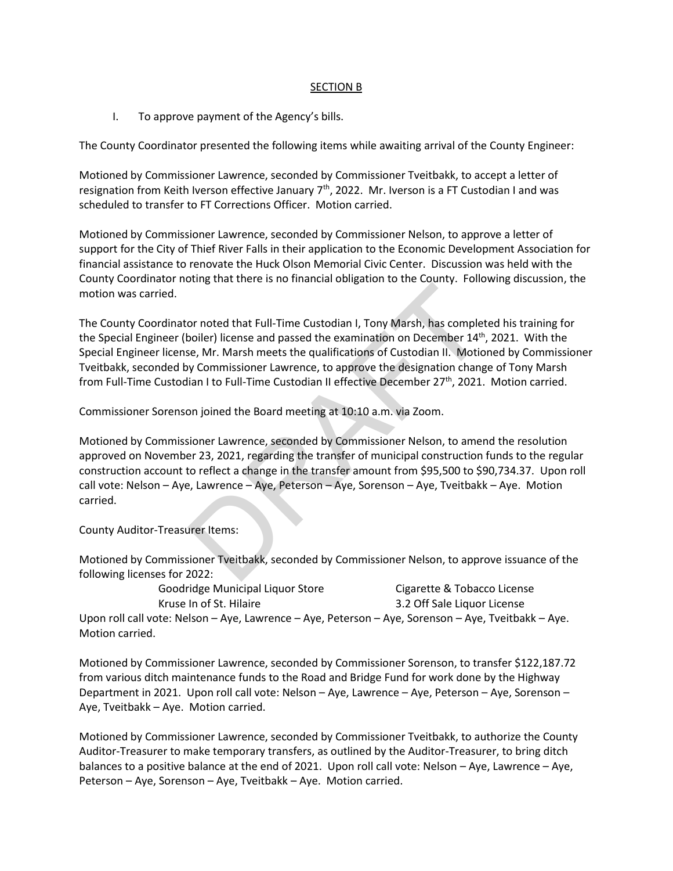## SECTION B

I. To approve payment of the Agency's bills.

The County Coordinator presented the following items while awaiting arrival of the County Engineer:

Motioned by Commissioner Lawrence, seconded by Commissioner Tveitbakk, to accept a letter of resignation from Keith Iverson effective January 7<sup>th</sup>, 2022. Mr. Iverson is a FT Custodian I and was scheduled to transfer to FT Corrections Officer. Motion carried.

Motioned by Commissioner Lawrence, seconded by Commissioner Nelson, to approve a letter of support for the City of Thief River Falls in their application to the Economic Development Association for financial assistance to renovate the Huck Olson Memorial Civic Center. Discussion was held with the County Coordinator noting that there is no financial obligation to the County. Following discussion, the motion was carried.

The County Coordinator noted that Full-Time Custodian I, Tony Marsh, has completed his training for the Special Engineer (boiler) license and passed the examination on December 14<sup>th</sup>, 2021. With the Special Engineer license, Mr. Marsh meets the qualifications of Custodian II. Motioned by Commissioner Tveitbakk, seconded by Commissioner Lawrence, to approve the designation change of Tony Marsh from Full-Time Custodian I to Full-Time Custodian II effective December 27<sup>th</sup>, 2021. Motion carried. om, and that Full-Time Custodian I, Tony Marsh, has completed to the transformation of the examination on December 14<sup>th</sup>,<br>B. Mr. Marsh meets the qualifications of Custodian II. Motio<br>y Commissioner Lawrence, to approve th

Commissioner Sorenson joined the Board meeting at 10:10 a.m. via Zoom.

Motioned by Commissioner Lawrence, seconded by Commissioner Nelson, to amend the resolution approved on November 23, 2021, regarding the transfer of municipal construction funds to the regular construction account to reflect a change in the transfer amount from \$95,500 to \$90,734.37. Upon roll call vote: Nelson – Aye, Lawrence – Aye, Peterson – Aye, Sorenson – Aye, Tveitbakk – Aye. Motion carried.

County Auditor-Treasurer Items:

Motioned by Commissioner Tveitbakk, seconded by Commissioner Nelson, to approve issuance of the following licenses for 2022:

Goodridge Municipal Liquor Store Cigarette & Tobacco License Kruse In of St. Hilaire 3.2 Off Sale Liquor License Upon roll call vote: Nelson – Aye, Lawrence – Aye, Peterson – Aye, Sorenson – Aye, Tveitbakk – Aye. Motion carried.

Motioned by Commissioner Lawrence, seconded by Commissioner Sorenson, to transfer \$122,187.72 from various ditch maintenance funds to the Road and Bridge Fund for work done by the Highway Department in 2021. Upon roll call vote: Nelson – Aye, Lawrence – Aye, Peterson – Aye, Sorenson – Aye, Tveitbakk – Aye. Motion carried.

Motioned by Commissioner Lawrence, seconded by Commissioner Tveitbakk, to authorize the County Auditor-Treasurer to make temporary transfers, as outlined by the Auditor-Treasurer, to bring ditch balances to a positive balance at the end of 2021. Upon roll call vote: Nelson – Aye, Lawrence – Aye, Peterson – Aye, Sorenson – Aye, Tveitbakk – Aye. Motion carried.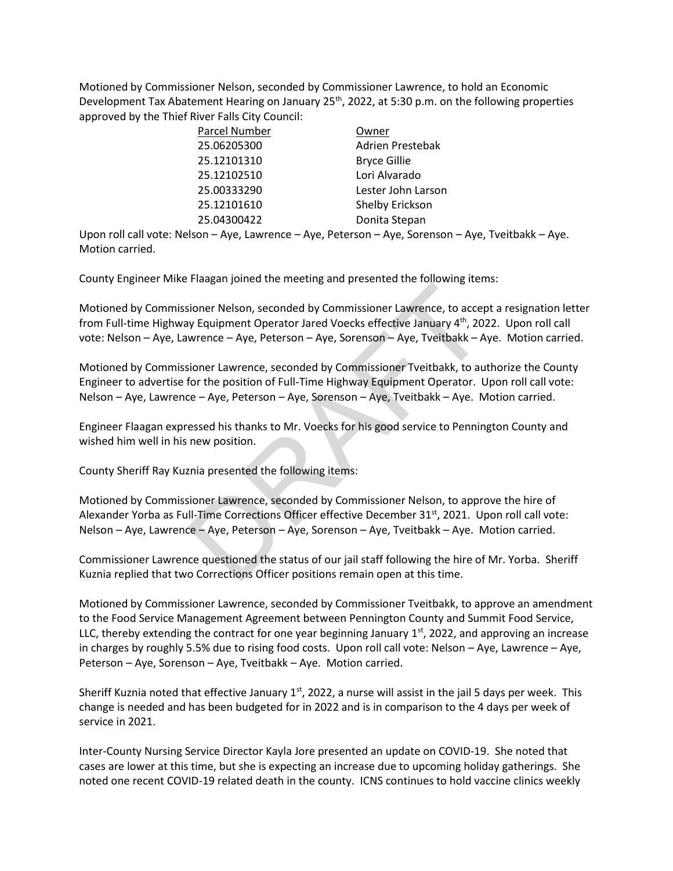Motioned by Commissioner Nelson, seconded by Commissioner Lawrence, to hold an Economic Development Tax Abatement Hearing on January 25<sup>th</sup>, 2022, at 5:30 p.m. on the following properties approved by the Thief River Falls City Council:

| Owner               |
|---------------------|
| Adrien Prestebak    |
| <b>Bryce Gillie</b> |
| Lori Alvarado       |
| Lester John Larson  |
| Shelby Erickson     |
| Donita Stepan       |
|                     |

Upon roll call vote: Nelson – Aye, Lawrence – Aye, Peterson – Aye, Sorenson – Aye, Tveitbakk – Aye. Motion carried.

County Engineer Mike Flaagan joined the meeting and presented the following items:

Motioned by Commissioner Nelson, seconded by Commissioner Lawrence, to accept a resignation letter from Full-time Highway Equipment Operator Jared Voecks effective January 4th, 2022. Upon roll call vote: Nelson – Aye, Lawrence – Aye, Peterson – Aye, Sorenson – Aye, Tveitbakk – Aye. Motion carried. The again particular metallity and presence are tolerang ours<br>
sioner Nelson, seconded by Commissioner Lawrence, to accept<br>
sioner Lawrence – Aye, Peterson – Aye, Sorenson – Aye, Tveitbakk – A<br>
sioner Lawrence, seconded by

Motioned by Commissioner Lawrence, seconded by Commissioner Tveitbakk, to authorize the County Engineer to advertise for the position of Full-Time Highway Equipment Operator. Upon roll call vote: Nelson – Aye, Lawrence – Aye, Peterson – Aye, Sorenson – Aye, Tveitbakk – Aye. Motion carried.

Engineer Flaagan expressed his thanks to Mr. Voecks for his good service to Pennington County and wished him well in his new position.

County Sheriff Ray Kuznia presented the following items:

Motioned by Commissioner Lawrence, seconded by Commissioner Nelson, to approve the hire of Alexander Yorba as Full-Time Corrections Officer effective December 31<sup>st</sup>, 2021. Upon roll call vote: Nelson – Aye, Lawrence – Aye, Peterson – Aye, Sorenson – Aye, Tveitbakk – Aye. Motion carried.

Commissioner Lawrence questioned the status of our jail staff following the hire of Mr. Yorba. Sheriff Kuznia replied that two Corrections Officer positions remain open at this time.

Motioned by Commissioner Lawrence, seconded by Commissioner Tveitbakk, to approve an amendment to the Food Service Management Agreement between Pennington County and Summit Food Service, LLC, thereby extending the contract for one year beginning January  $1<sup>st</sup>$ , 2022, and approving an increase in charges by roughly 5.5% due to rising food costs. Upon roll call vote: Nelson – Aye, Lawrence – Aye, Peterson – Aye, Sorenson – Aye, Tveitbakk – Aye. Motion carried.

Sheriff Kuznia noted that effective January  $1<sup>st</sup>$ , 2022, a nurse will assist in the jail 5 days per week. This change is needed and has been budgeted for in 2022 and is in comparison to the 4 days per week of service in 2021.

Inter-County Nursing Service Director Kayla Jore presented an update on COVID-19. She noted that cases are lower at this time, but she is expecting an increase due to upcoming holiday gatherings. She noted one recent COVID-19 related death in the county. ICNS continues to hold vaccine clinics weekly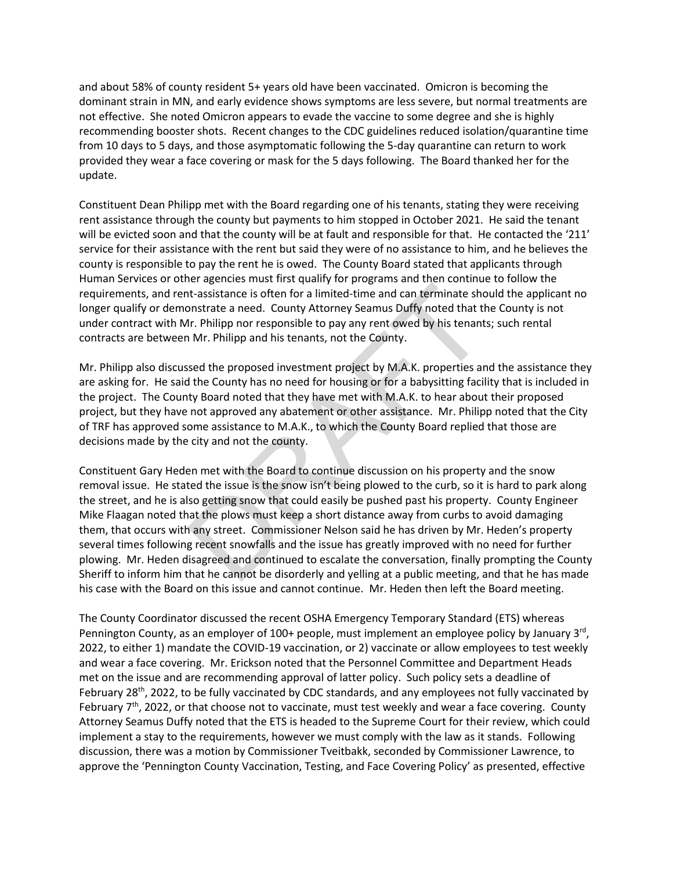and about 58% of county resident 5+ years old have been vaccinated. Omicron is becoming the dominant strain in MN, and early evidence shows symptoms are less severe, but normal treatments are not effective. She noted Omicron appears to evade the vaccine to some degree and she is highly recommending booster shots. Recent changes to the CDC guidelines reduced isolation/quarantine time from 10 days to 5 days, and those asymptomatic following the 5-day quarantine can return to work provided they wear a face covering or mask for the 5 days following. The Board thanked her for the update.

Constituent Dean Philipp met with the Board regarding one of his tenants, stating they were receiving rent assistance through the county but payments to him stopped in October 2021. He said the tenant will be evicted soon and that the county will be at fault and responsible for that. He contacted the '211' service for their assistance with the rent but said they were of no assistance to him, and he believes the county is responsible to pay the rent he is owed. The County Board stated that applicants through Human Services or other agencies must first qualify for programs and then continue to follow the requirements, and rent-assistance is often for a limited-time and can terminate should the applicant no longer qualify or demonstrate a need. County Attorney Seamus Duffy noted that the County is not under contract with Mr. Philipp nor responsible to pay any rent owed by his tenants; such rental contracts are between Mr. Philipp and his tenants, not the County.

Mr. Philipp also discussed the proposed investment project by M.A.K. properties and the assistance they are asking for. He said the County has no need for housing or for a babysitting facility that is included in the project. The County Board noted that they have met with M.A.K. to hear about their proposed project, but they have not approved any abatement or other assistance. Mr. Philipp noted that the City of TRF has approved some assistance to M.A.K., to which the County Board replied that those are decisions made by the city and not the county.

Constituent Gary Heden met with the Board to continue discussion on his property and the snow removal issue. He stated the issue is the snow isn't being plowed to the curb, so it is hard to park along the street, and he is also getting snow that could easily be pushed past his property. County Engineer Mike Flaagan noted that the plows must keep a short distance away from curbs to avoid damaging them, that occurs with any street. Commissioner Nelson said he has driven by Mr. Heden's property several times following recent snowfalls and the issue has greatly improved with no need for further plowing. Mr. Heden disagreed and continued to escalate the conversation, finally prompting the County Sheriff to inform him that he cannot be disorderly and yelling at a public meeting, and that he has made his case with the Board on this issue and cannot continue. Mr. Heden then left the Board meeting. Ethera is often for a limited-time and can terminate short-sasistance is often for a limited-time and can terminate shonstrate a need. County Attorney Seamus Duffy noted that the Ir. Philipp nor responsible to pay any rent

The County Coordinator discussed the recent OSHA Emergency Temporary Standard (ETS) whereas Pennington County, as an employer of 100+ people, must implement an employee policy by January 3<sup>rd</sup>, 2022, to either 1) mandate the COVID-19 vaccination, or 2) vaccinate or allow employees to test weekly and wear a face covering. Mr. Erickson noted that the Personnel Committee and Department Heads met on the issue and are recommending approval of latter policy. Such policy sets a deadline of February 28<sup>th</sup>, 2022, to be fully vaccinated by CDC standards, and any employees not fully vaccinated by February  $7<sup>th</sup>$ , 2022, or that choose not to vaccinate, must test weekly and wear a face covering. County Attorney Seamus Duffy noted that the ETS is headed to the Supreme Court for their review, which could implement a stay to the requirements, however we must comply with the law as it stands. Following discussion, there was a motion by Commissioner Tveitbakk, seconded by Commissioner Lawrence, to approve the 'Pennington County Vaccination, Testing, and Face Covering Policy' as presented, effective